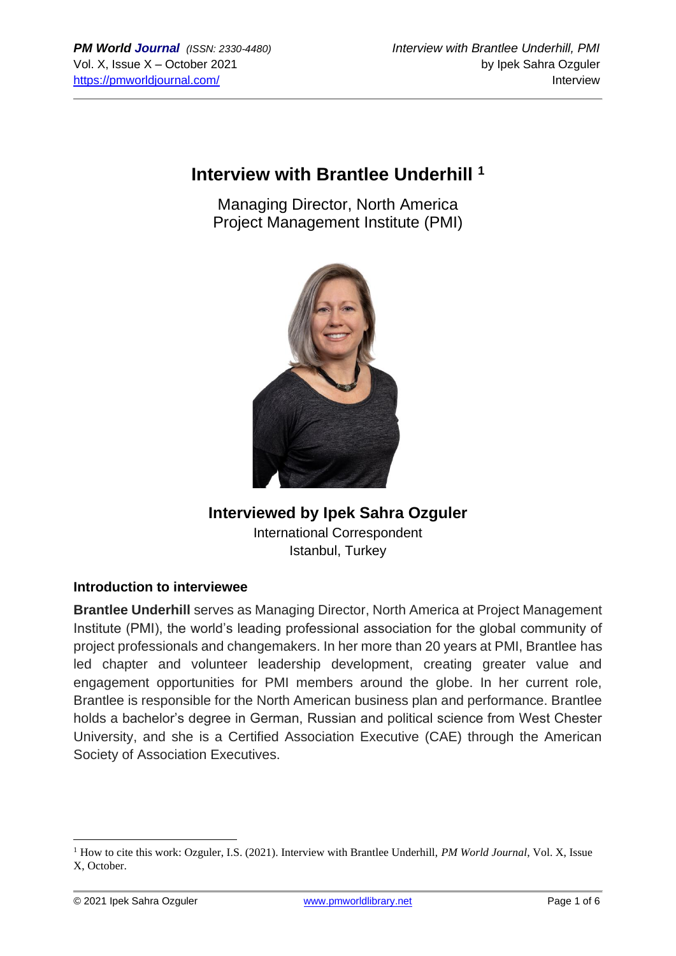# **Interview with Brantlee Underhill <sup>1</sup>**

Managing Director, North America Project Management Institute (PMI)



## **Interviewed by Ipek Sahra Ozguler** International Correspondent

Istanbul, Turkey

#### **Introduction to interviewee**

**Brantlee Underhill** serves as Managing Director, North America at Project Management Institute (PMI), the world's leading professional association for the global community of project professionals and changemakers. In her more than 20 years at PMI, Brantlee has led chapter and volunteer leadership development, creating greater value and engagement opportunities for PMI members around the globe. In her current role, Brantlee is responsible for the North American business plan and performance. Brantlee holds a bachelor's degree in German, Russian and political science from West Chester University, and she is a Certified Association Executive (CAE) through the American Society of Association Executives.

<sup>1</sup> How to cite this work: Ozguler, I.S. (2021). Interview with Brantlee Underhill, *PM World Journal*, Vol. X, Issue X, October.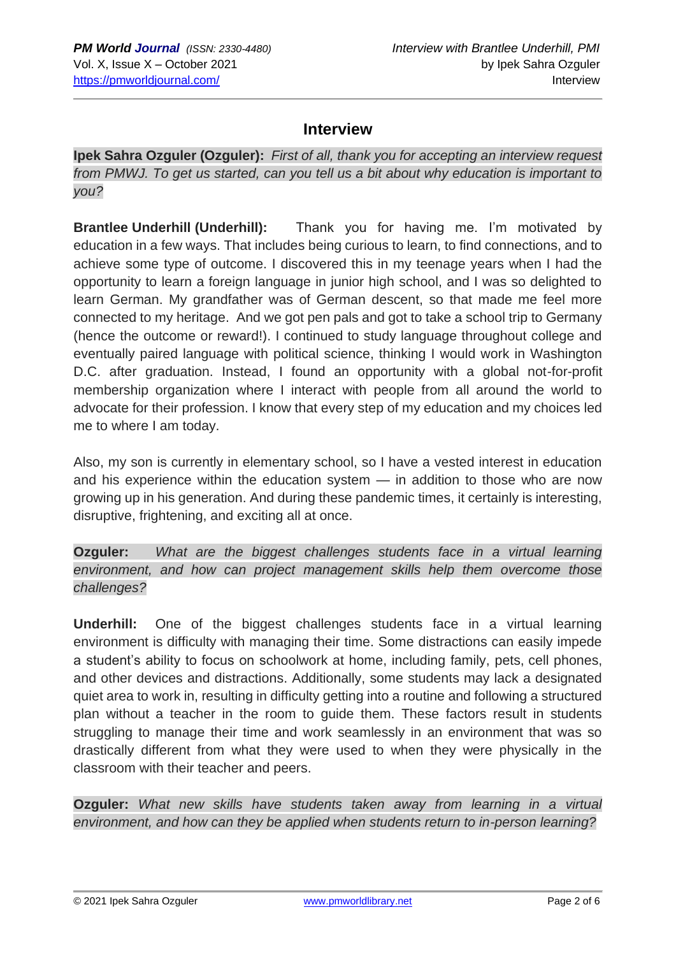## **Interview**

**Ipek Sahra Ozguler (Ozguler):** *First of all, thank you for accepting an interview request from PMWJ. To get us started, can you tell us a bit about why education is important to you?*

**Brantlee Underhill (Underhill):** Thank you for having me. I'm motivated by education in a few ways. That includes being curious to learn, to find connections, and to achieve some type of outcome. I discovered this in my teenage years when I had the opportunity to learn a foreign language in junior high school, and I was so delighted to learn German. My grandfather was of German descent, so that made me feel more connected to my heritage. And we got pen pals and got to take a school trip to Germany (hence the outcome or reward!). I continued to study language throughout college and eventually paired language with political science, thinking I would work in Washington D.C. after graduation. Instead, I found an opportunity with a global not-for-profit membership organization where I interact with people from all around the world to advocate for their profession. I know that every step of my education and my choices led me to where I am today.

Also, my son is currently in elementary school, so I have a vested interest in education and his experience within the education system — in addition to those who are now growing up in his generation. And during these pandemic times, it certainly is interesting, disruptive, frightening, and exciting all at once.

**Ozguler:** *What are the biggest challenges students face in a virtual learning environment, and how can project management skills help them overcome those challenges?*

**Underhill:** One of the biggest challenges students face in a virtual learning environment is difficulty with managing their time. Some distractions can easily impede a student's ability to focus on schoolwork at home, including family, pets, cell phones, and other devices and distractions. Additionally, some students may lack a designated quiet area to work in, resulting in difficulty getting into a routine and following a structured plan without a teacher in the room to guide them. These factors result in students struggling to manage their time and work seamlessly in an environment that was so drastically different from what they were used to when they were physically in the classroom with their teacher and peers.

**Ozguler:** *What new skills have students taken away from learning in a virtual environment, and how can they be applied when students return to in-person learning?*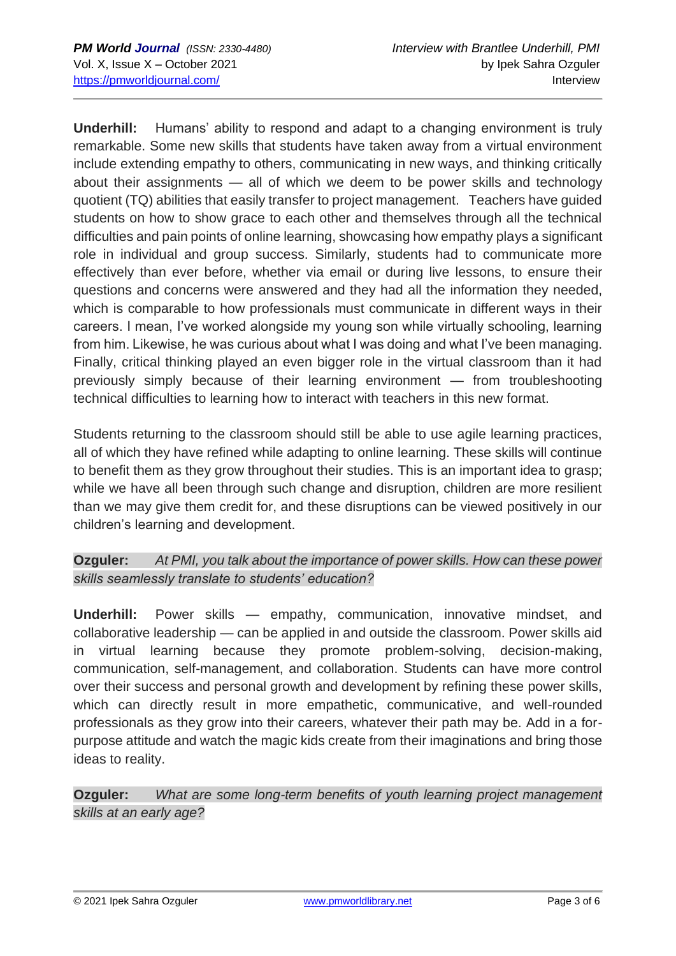**Underhill:** Humans' ability to respond and adapt to a changing environment is truly remarkable. Some new skills that students have taken away from a virtual environment include extending empathy to others, communicating in new ways, and thinking critically about their assignments — all of which we deem to be power skills and technology quotient (TQ) abilities that easily transfer to project management. Teachers have guided students on how to show grace to each other and themselves through all the technical difficulties and pain points of online learning, showcasing how empathy plays a significant role in individual and group success. Similarly, students had to communicate more effectively than ever before, whether via email or during live lessons, to ensure their questions and concerns were answered and they had all the information they needed, which is comparable to how professionals must communicate in different ways in their careers. I mean, I've worked alongside my young son while virtually schooling, learning from him. Likewise, he was curious about what I was doing and what I've been managing. Finally, critical thinking played an even bigger role in the virtual classroom than it had previously simply because of their learning environment — from troubleshooting technical difficulties to learning how to interact with teachers in this new format.

Students returning to the classroom should still be able to use agile learning practices, all of which they have refined while adapting to online learning. These skills will continue to benefit them as they grow throughout their studies. This is an important idea to grasp; while we have all been through such change and disruption, children are more resilient than we may give them credit for, and these disruptions can be viewed positively in our children's learning and development.

**Ozguler:** *At PMI, you talk about the importance of power skills. How can these power skills seamlessly translate to students' education?*

**Underhill:** Power skills — empathy, communication, innovative mindset, and collaborative leadership — can be applied in and outside the classroom. Power skills aid in virtual learning because they promote problem-solving, decision-making, communication, self-management, and collaboration. Students can have more control over their success and personal growth and development by refining these power skills, which can directly result in more empathetic, communicative, and well-rounded professionals as they grow into their careers, whatever their path may be. Add in a forpurpose attitude and watch the magic kids create from their imaginations and bring those ideas to reality.

**Ozguler:** *What are some long-term benefits of youth learning project management skills at an early age?*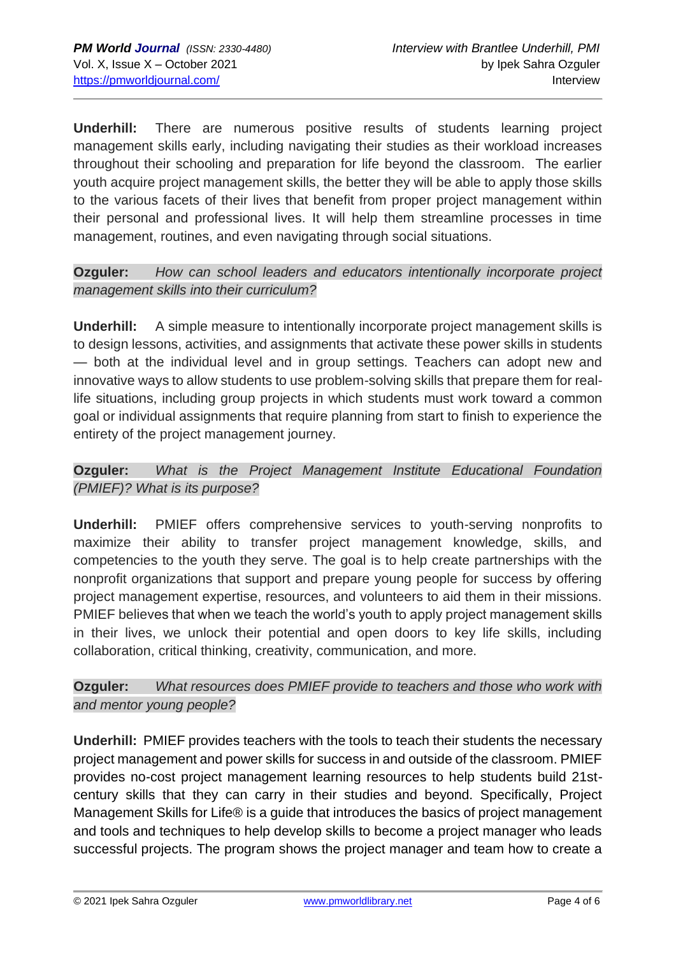**Underhill:** There are numerous positive results of students learning project management skills early, including navigating their studies as their workload increases throughout their schooling and preparation for life beyond the classroom. The earlier youth acquire project management skills, the better they will be able to apply those skills to the various facets of their lives that benefit from proper project management within their personal and professional lives. It will help them streamline processes in time management, routines, and even navigating through social situations.

#### **Ozguler:** *How can school leaders and educators intentionally incorporate project management skills into their curriculum?*

**Underhill:** A simple measure to intentionally incorporate project management skills is to design lessons, activities, and assignments that activate these power skills in students — both at the individual level and in group settings. Teachers can adopt new and innovative ways to allow students to use problem-solving skills that prepare them for reallife situations, including group projects in which students must work toward a common goal or individual assignments that require planning from start to finish to experience the entirety of the project management journey.

#### **Ozguler:** *What is the Project Management Institute Educational Foundation (PMIEF)? What is its purpose?*

**Underhill:** PMIEF offers comprehensive services to youth-serving nonprofits to maximize their ability to transfer project management knowledge, skills, and competencies to the youth they serve. The goal is to help create partnerships with the nonprofit organizations that support and prepare young people for success by offering project management expertise, resources, and volunteers to aid them in their missions. PMIEF believes that when we teach the world's youth to apply project management skills in their lives, we unlock their potential and open doors to key life skills, including collaboration, critical thinking, creativity, communication, and more.

#### **Ozguler:** *What resources does PMIEF provide to teachers and those who work with and mentor young people?*

**Underhill:** PMIEF provides teachers with the tools to teach their students the necessary project management and power skills for success in and outside of the classroom. PMIEF provides no-cost project management learning resources to help students build 21stcentury skills that they can carry in their studies and beyond. Specifically, Project Management Skills for Life® is a guide that introduces the basics of project management and tools and techniques to help develop skills to become a project manager who leads successful projects. The program shows the project manager and team how to create a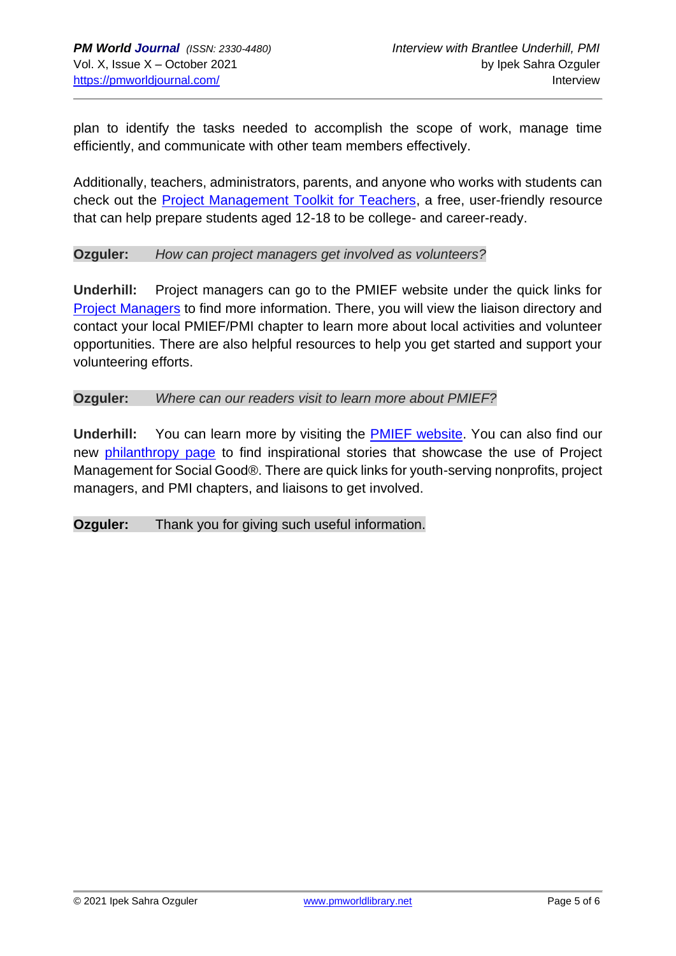plan to identify the tasks needed to accomplish the scope of work, manage time efficiently, and communicate with other team members effectively.

Additionally, teachers, administrators, parents, and anyone who works with students can check out the [Project Management Toolkit for Teachers,](https://www.girlsguidetopm.com/pmief/) a free, user-friendly resource that can help prepare students aged 12-18 to be college- and career-ready.

#### **Ozguler:** *How can project managers get involved as volunteers?*

**Underhill:** Project managers can go to the PMIEF website under the quick links for [Project Managers](https://pmief.org/get-involved/volunteering) to find more information. There, you will view the liaison directory and contact your local PMIEF/PMI chapter to learn more about local activities and volunteer opportunities. There are also helpful resources to help you get started and support your volunteering efforts.

#### **Ozguler:** *Where can our readers visit to learn more about PMIEF?*

**Underhill:** You can learn more by visiting the [PMIEF website.](file:///C:/Users/culottr1/AppData/Local/Microsoft/Windows/INetCache/Content.Outlook/MPDJA9RJ/v) You can also find our new [philanthropy page](https://www.projectmanagement.com/contentPages/page.cfm?ID=634356&thisPageURL=/pages/634356/PM-Philanthropy#_=_) to find inspirational stories that showcase the use of Project Management for Social Good®. There are quick links for youth-serving nonprofits, project managers, and PMI chapters, and liaisons to get involved.

**Ozguler:** Thank you for giving such useful information.